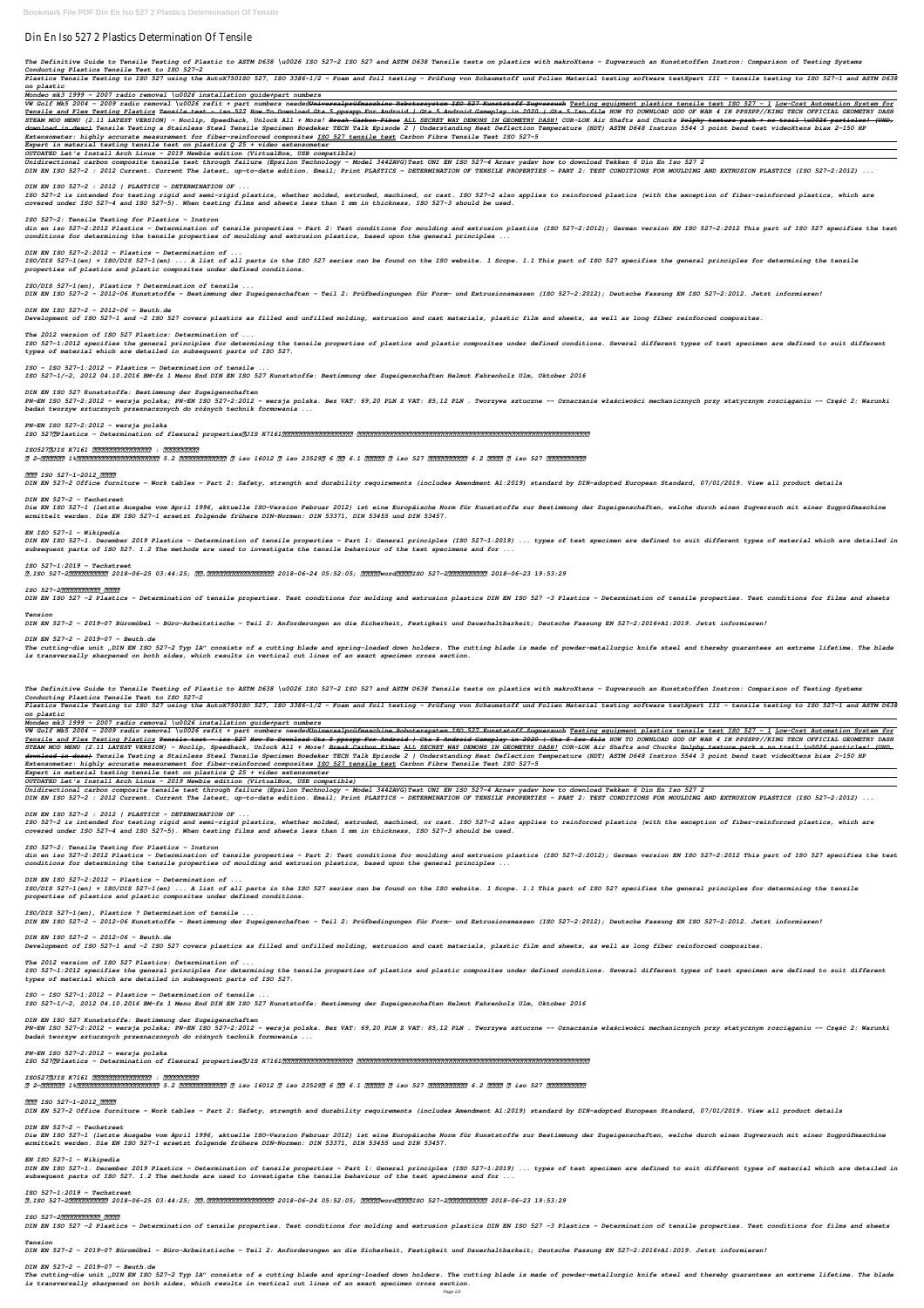# Din En Iso 527 2 Plastics Determination Of Tensile

The Definitive Guide to Tensile Testing of Plastic to ASTM D638 \u0026 ISO 527-2 ISO 527 and ASTM D638 Tensile tests on plastics with makroXtens - Zugversuch an Kunststoffen Instron: Comparison of Testing Systems *Conducting Plastics Tensile Test to ISO 527-2* 

Plastics Tensile Testing to ISO 527 using the AutoX750ISO 527, ISO 3386-1/2 - Foam and foil testing von Schaumstoff und Folien Material testing software testXpert III - tensile testing to ISO 527-1 and ASTM D638 *on plastic*

*Mondeo mk3 1999 - 2007 radio removal \u0026 installation guide+part numbers*

VW Golf Mk5 2004 - 2009 radio removal \u0026 refit + part numbers needed<del>Universalprüfmaschine Robotersystem ISO 527 Kunststoff Zugversuch</del> Testing equipment plastics tensile test ISO 527 - 1 Low-Cost Automation System for <u>Tensile and Flex Testing Plastics</u> <del>Tensile test - iso 527 How To Download Gta 5 ppsspp For Android Gameplay in 2020 | Gta 5 Iso file</del> HOW TO DOWNLOAD GOD OF WAR 4 IN PPSSPP//KING TECH OFFICIAL GEOMETRY DASH STEAM MOD MENU (2.11 LATEST VERSION) - Noclip, Speedhack, Unlock All + More! <del>Break Carbon Fiber</del> ALL SECRET WAY DEMONS IN GEOMETRY DASH! COR-LOK Air Shafts and Chucks <del>Dolphy texture pack + no trail \u0026 particles! (UHD</del> download in desc) Tensile Testing a Stainless Steel Tensile Specimen Boedeker TECH Talk Episode 2 | Understanding Heat Deflection Temperature (HDT) ASTM D648 Instron 5544 3 point bend test videoXtens biax 2-150 HP *Extensometer: highly accurate measurement for fiber-reinforced composites ISO 527 tensile test Carbon Fibre Tensile Test ISO 527-5*

din en iso 527-2:2012 Plastics - Determination of tensile properties - Part 2: Test conditions for moulding and extrusion plastics (ISO 527-2:2012); German version EN ISO 527-2:2012 This part of ISO 527 specifies the test *conditions for determining the tensile properties of moulding and extrusion plastics, based upon the general principles ...*

*Expert in material testing tensile test on plastics Q 25 + video extensometer*

*OUTDATED Let's Install Arch Linux - 2019 Newbie edition (VirtualBox, USB compatible)*

*Unidirectional carbon composite tensile test through failure (Epsilon Technology - Model 3442AVG)Test UNI EN ISO 527-4 Arnav yadav how to download Tekken 6 Din En Iso 527 2 DIN EN ISO 527-2 : 2012 Current. Current The latest, up-to-date edition. Email; Print PLASTICS - DETERMINATION OF TENSILE PROPERTIES - PART 2: TEST CONDITIONS FOR MOULDING AND EXTRUSION PLASTICS (ISO 527-2:2012) ...*

ISO 527-1:2012 specifies the general principles for determining the tensile properties of plastic composites under defined conditions. Several different types of test specimen are defined to suit different *types of material which are detailed in subsequent parts of ISO 527.*

## *DIN EN ISO 527-2 : 2012 | PLASTICS - DETERMINATION OF ...*

PN-EN ISO 527-2:2012 - wersja polska; PN-EN ISO 527-2:2012 - wersja polska. Bez VAT: 69,20 PLN Z VAT: 85,12 PLN . Tworzywa sztuczne -- Oznaczanie właściwości mechanicznych przy statycznym rozciąganiu -- Część 2: Warunki *badań tworzyw sztucznych przeznaczonych do różnych technik formowania ...*

*ISO 527-2 is intended for testing rigid and semi-rigid plastics, whether molded, extruded, machined, or cast. ISO 527-2 also applies to reinforced plastics (with the exception of fiber-reinforced plastics, which are covered under ISO 527-4 and ISO 527-5). When testing films and sheets less than 1 mm in thickness, ISO 527-3 should be used.*

*ISO 527-2: Tensile Testing for Plastics - Instron*

Die EN ISO 527-1 (letzte Ausgabe vom April 1996, aktuelle ISO-Version Februar 2012) ist eine Europäische Norm für Kunststoffe zur Bestimmung der Zugeigenschaften, welche durch einen Zugversuch mit einer Zugprüfmaschine *ermittelt werden. Die EN ISO 527-1 ersetzt folgende frühere DIN-Normen: DIN 53371, DIN 53455 und DIN 53457.*

DIN EN ISO 527-1. December 2019 Plastics - Determination of tensile properties - Part 1: General principles (ISO 527-1:2019) ... types of test specimen are defined to suit different types of material which are detailed in *subsequent parts of ISO 527. 1.2 The methods are used to investigate the tensile behaviour of the test specimens and for ...*

*DIN EN ISO 527-2:2012 - Plastics - Determination of ...*

*ISO/DIS 527-1(en) × ISO/DIS 527-1(en) ... A list of all parts in the ISO 527 series can be found on the ISO website. 1 Scope. 1.1 This part of ISO 527 specifies the general principles for determining the tensile properties of plastics and plastic composites under defined conditions.*

*ISO/DIS 527-1(en), Plastics ? Determination of tensile ... DIN EN ISO 527-2 - 2012-06 Kunststoffe - Bestimmung der Zugeigenschaften - Teil 2: Prüfbedingungen für Form- und Extrusionsmassen (ISO 527-2:2012); Deutsche Fassung EN ISO 527-2:2012. Jetzt informieren!*

The cutting-die unit "DIN EN ISO 527-2 Typ 1A" consists of a cutting blade and spring-loaded down holders. The cutting blade is made of powder-metallurgic knife steel and thereby guarantees an extreme lifetime. The blade *is transversally sharpened on both sides, which results in vertical cut lines of an exact specimen cross section.*

The Definitive Guide to Tensile Testing of Plastic to ASTM D638 \u0026 ISO 527-2 ISO 527 and ASTM D638 Tensile tests on plastics with makroXtens - Zugversuch an Kunststoffen Instron: Comparison of Testing Systems *Conducting Plastics Tensile Test to ISO 527-2* 

*DIN EN ISO 527-2 - 2012-06 - Beuth.de Development of ISO 527-1 and -2 ISO 527 covers plastics as filled and unfilled molding, extrusion and cast materials, plastic film and sheets, as well as long fiber reinforced composites.*

Plastics Tensile Testing to ISO 527 using the AutoX750ISO 527, ISO 3386-1/2 - Foam and foil testing von Schaumstoff und Folien Material testing software testXpert III - tensile testing to ISO 527-1 and ASTM D638 *on plastic*

*The 2012 version of ISO 527 Plastics: Determination of ...*

*ISO - ISO 527-1:2012 - Plastics — Determination of tensile ... ISO 527-1/-2, 2012 04.10.2016 BM-fz 1 Menu End DIN EN ISO 527 Kunststoffe: Bestimmung der Zugeigenschaften Helmut Fahrenholz Ulm, Oktober 2016*

VW Golf Mk5 2004 - 2009 radio removal \u0026 refit + part numbers needed<del>Universalprüfmaschine Robotersystem ISO 527 Kunststoff Zugversuch</del> Testing equipment plastics tensile test ISO 527 - 1 Low-Cost Automation System for <u>Tensile and Flex Testing Plastics</u> <del>Tensile test - iso 527 How To Download Gta 5 ppsspp For Android | Gta 5 Android Gameplay in 2020 | Gta 5 Iso file HOW TO DOWNLOAD GOD OF WAR 4 IN PPSSPP//KING TECH OFFICIAL GEOMETRY DAS</del> STEAM MOD MENU (2.11 LATEST VERSION) - Noclip, Speedhack, Unlock All + More! <del>Break Carbon Fiber</del> ALL SECRET WAY DEMONS IN GEOMETRY DASH! COR-LOK Air Shafts and Chucks <del>Dolphy texture pack + no trail \u0026 particles! (UHD</del> download in desc) Tensile Testing a Stainless Steel Tensile Specimen Boedeker TECH Talk Episode 2 | Understanding Heat Deflection Temperature (HDT) ASTM D648 Instron 5544 3 point bend test videoXtens biax 2-150 HP *Extensometer: highly accurate measurement for fiber-reinforced composites ISO 527 tensile test Carbon Fibre Tensile Test ISO 527-5*

*DIN EN ISO 527 Kunststoffe: Bestimmung der Zugeigenschaften*

*PN-EN ISO 527-2:2012 - wersja polska ISO 527:Plastics - Determination of flexural properties、JIS K7161:プラスチック-引張特性の求め方は、 プラスチックなどの樹脂材料の機械的特性を取得するための、引張強度試験方法およびその計測装置精度などが規定されています。*

#### *ISO527・JIS K7161 プラスチック-引張特性の求め方 : 株式会社島津製作所*

din en iso 527-2:2012 Plastics - Determination of tensile properties - Part 2: Test conditions for moulding and extrusion plastics (ISO 527-2:2012); German version EN ISO 527-2:2012 This part of ISO 527 specifies the test *conditions for determining the tensile properties of moulding and extrusion plastics, based upon the general principles ...*

*图 2—假设准确度为 1%,不同标距测量模量时,对引伸计准确度的要求 5.2 测量试样宽度和厚度的装置 见 iso 16012 和 iso 23529。 6 试样 6.1 形状和尺寸 见 iso 527 各部分内容中的规定。 6.2 试样制备 见 iso 527 各部分内容中的规定。*

## *中文版 ISO 527-1-2012\_百度文库*

*DIN EN 527-2 Office furniture - Work tables - Part 2: Safety, strength and durability requirements (includes Amendment A1:2019) standard by DIN-adopted European Standard, 07/01/2019. View all product details*

## *DIN EN 527-2 - Techstreet*

ISO 527-1:2012 specifies the general principles for determining the tensile properties of plastics and plastic composites under defined conditions. Several different types of test specimen are defined to suit different *types of material which are detailed in subsequent parts of ISO 527.*

## *EN ISO 527-1 – Wikipedia*

PN-EN ISO 527-2:2012 - wersja polska; PN-EN ISO 527-2:2012 - wersja polska. Bez VAT: 69,20 PLN Z VAT: 85,12 PLN . Tworzywa sztuczne -- Oznaczanie właściwości mechanicznych przy statycznym rozciąganiu -- Część 2: Warunki *badań tworzyw sztucznych przeznaczonych do różnych technik formowania ...*

## *ISO 527-1:2019 - Techstreet*

*好,ISO 527-2塑料拉伸性能测试方法 2018-06-25 03:44:25; 很赞,作者还有其他关于性能测试的文档吗? 2018-06-24 05:52:05; 这篇文档有word格式吗?ISO 527-2塑料拉伸性能测试方法 2018-06-23 19:53:29*

## *ISO 527-2塑料拉伸性能测试方法\_百度文库*

DIN EN ISO 527 -2 Plastics - Determination of tensile properties. Test conditions for molding and extrusion plastics DIN EN ISO 527 -3 Plastics - Determination of tensile properties. Test conditions for films and sheets

Die EN ISO 527-1 (letzte Ausgabe vom April 1996, aktuelle ISO-Version Februar 2012) ist eine Europäische Norm für Kunststoffe zur Bestimmung der Zugeigenschaften, welche durch einen Zugversuch mit einer Zugprüfmaschine *ermittelt werden. Die EN ISO 527-1 ersetzt folgende frühere DIN-Normen: DIN 53371, DIN 53455 und DIN 53457.*

#### *Tension*

DIN EN ISO 527-1. December 2019 Plastics - Determination of tensile properties - Part 1: General principles (ISO 527-1:2019) ... types of test specimen are defined to suit different types of material which are detailed in *subsequent parts of ISO 527. 1.2 The methods are used to investigate the tensile behaviour of the test specimens and for ...*

*DIN EN 527-2 - 2019-07 Büromöbel - Büro-Arbeitstische - Teil 2: Anforderungen an die Sicherheit, Festigkeit und Dauerhaltbarkeit; Deutsche Fassung EN 527-2:2016+A1:2019. Jetzt informieren!*

#### *DIN EN 527-2 - 2019-07 - Beuth.de*

The cutting-die unit "DIN EN ISO 527-2 Typ 1A" consists of a cutting blade and spring-loaded down holders. The cutting blade is made of powder-metallurgic knife steel and thereby guarantees an extreme lifetime. The blade *is transversally sharpened on both sides, which results in vertical cut lines of an exact specimen cross section.*

*Mondeo mk3 1999 - 2007 radio removal \u0026 installation guide+part numbers*

*Expert in material testing tensile test on plastics Q 25 + video extensometer*

*OUTDATED Let's Install Arch Linux - 2019 Newbie edition (VirtualBox, USB compatible)*

*Unidirectional carbon composite tensile test through failure (Epsilon Technology - Model 3442AVG)Test UNI EN ISO 527-4 Arnav yadav how to download Tekken 6 Din En Iso 527 2 DIN EN ISO 527-2 : 2012 Current. Current The latest, up-to-date edition. Email; Print PLASTICS - DETERMINATION OF TENSILE PROPERTIES - PART 2: TEST CONDITIONS FOR MOULDING AND EXTRUSION PLASTICS (ISO 527-2:2012) ...*

#### *DIN EN ISO 527-2 : 2012 | PLASTICS - DETERMINATION OF ...*

*ISO 527-2 is intended for testing rigid and semi-rigid plastics, whether molded, extruded, machined, or cast. ISO 527-2 also applies to reinforced plastics (with the exception of fiber-reinforced plastics, which are covered under ISO 527-4 and ISO 527-5). When testing films and sheets less than 1 mm in thickness, ISO 527-3 should be used.*

## *ISO 527-2: Tensile Testing for Plastics - Instron*

#### *DIN EN ISO 527-2:2012 - Plastics - Determination of ...*

*ISO/DIS 527-1(en) × ISO/DIS 527-1(en) ... A list of all parts in the ISO 527 series can be found on the ISO website. 1 Scope. 1.1 This part of ISO 527 specifies the general principles for determining the tensile properties of plastics and plastic composites under defined conditions.*

*ISO/DIS 527-1(en), Plastics ? Determination of tensile ...*

*DIN EN ISO 527-2 - 2012-06 Kunststoffe - Bestimmung der Zugeigenschaften - Teil 2: Prüfbedingungen für Form- und Extrusionsmassen (ISO 527-2:2012); Deutsche Fassung EN ISO 527-2:2012. Jetzt informieren!*

*DIN EN ISO 527-2 - 2012-06 - Beuth.de*

*Development of ISO 527-1 and -2 ISO 527 covers plastics as filled and unfilled molding, extrusion and cast materials, plastic film and sheets, as well as long fiber reinforced composites.*

#### *The 2012 version of ISO 527 Plastics: Determination of ...*

*ISO - ISO 527-1:2012 - Plastics — Determination of tensile ...*

*ISO 527-1/-2, 2012 04.10.2016 BM-fz 1 Menu End DIN EN ISO 527 Kunststoffe: Bestimmung der Zugeigenschaften Helmut Fahrenholz Ulm, Oktober 2016*

## *DIN EN ISO 527 Kunststoffe: Bestimmung der Zugeigenschaften*

#### *PN-EN ISO 527-2:2012 - wersja polska*

*ISO 527:Plastics - Determination of flexural properties、JIS K7161:プラスチック-引張特性の求め方は、 プラスチックなどの樹脂材料の機械的特性を取得するための、引張強度試験方法およびその計測装置精度などが規定されています。*

#### *ISO527・JIS K7161 プラスチック-引張特性の求め方 : 株式会社島津製作所*

*图 2—假设准确度为 1%,不同标距测量模量时,对引伸计准确度的要求 5.2 测量试样宽度和厚度的装置 见 iso 16012 和 iso 23529。 6 试样 6.1 形状和尺寸 见 iso 527 各部分内容中的规定。 6.2 试样制备 见 iso 527 各部分内容中的规定。*

#### *中文版 ISO 527-1-2012\_百度文库*

*DIN EN 527-2 Office furniture - Work tables - Part 2: Safety, strength and durability requirements (includes Amendment A1:2019) standard by DIN-adopted European Standard, 07/01/2019. View all product details*

#### *DIN EN 527-2 - Techstreet*

#### *EN ISO 527-1 – Wikipedia*

#### *ISO 527-1:2019 - Techstreet*

*好,ISO 527-2塑料拉伸性能测试方法 2018-06-25 03:44:25; 很赞,作者还有其他关于性能测试的文档吗? 2018-06-24 05:52:05; 这篇文档有word格式吗?ISO 527-2塑料拉伸性能测试方法 2018-06-23 19:53:29*

#### *ISO 527-2塑料拉伸性能测试方法\_百度文库*

DIN EN ISO 527 -2 Plastics - Determination of tensile properties. Test conditions for molding and extrusion plastics DIN EN ISO 527 -3 Plastics - Determination of tensile properties. Test conditions for films and sheets

#### *Tension*

*DIN EN 527-2 - 2019-07 Büromöbel - Büro-Arbeitstische - Teil 2: Anforderungen an die Sicherheit, Festigkeit und Dauerhaltbarkeit; Deutsche Fassung EN 527-2:2016+A1:2019. Jetzt informieren!*

#### *DIN EN 527-2 - 2019-07 - Beuth.de*